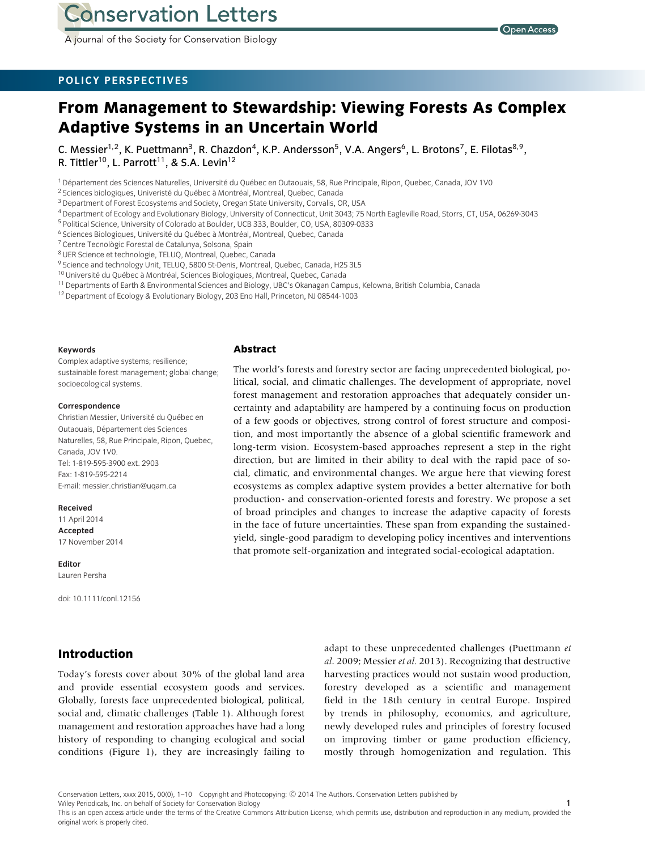**Conservation Letters** 

A journal of the Society for Conservation Biology

### **POLICY PERSPECTIVES**

# **From Management to Stewardship: Viewing Forests As Complex Adaptive Systems in an Uncertain World**

C. Messier<sup>1,2</sup>, K. Puettmann<sup>3</sup>, R. Chazdon<sup>4</sup>, K.P. Andersson<sup>5</sup>, V.A. Angers<sup>6</sup>, L. Brotons<sup>7</sup>, E. Filotas<sup>8,9</sup>, R. Tittler<sup>10</sup>, L. Parrott<sup>11</sup>, & S.A. Levin<sup>12</sup>

<sup>1</sup> Département des Sciences Naturelles, Université du Québec en Outaouais, 58, Rue Principale, Ripon, Quebec, Canada, JOV 1V0

- <sup>4</sup> Department of Ecology and Evolutionary Biology, University of Connecticut, Unit 3043; 75 North Eagleville Road, Storrs, CT, USA, 06269-3043
- <sup>5</sup> Political Science, University of Colorado at Boulder, UCB 333, Boulder, CO, USA, 80309-0333
- <sup>6</sup> Sciences Biologiques, Université du Québec à Montréal, Montreal, Quebec, Canada

 $7$  Centre Tecnològic Forestal de Catalunya, Solsona, Spain

- <sup>8</sup> UER Science et technologie, TELUQ, Montreal, Quebec, Canada
- <sup>9</sup> Science and technology Unit, TELUQ, 5800 St-Denis, Montreal, Quebec, Canada, H2S 3L5
- $10$  Université du Québec à Montréal, Sciences Biologiques, Montreal, Quebec, Canada
- <sup>11</sup> Departments of Earth & Environmental Sciences and Biology, UBC's Okanagan Campus, Kelowna, British Columbia, Canada
- <sup>12</sup> Department of Ecology & Evolutionary Biology, 203 Eno Hall, Princeton, NJ 08544-1003

#### **Keywords**

Complex adaptive systems; resilience; sustainable forest management; global change; socioecological systems.

#### **Correspondence**

Christian Messier, Université du Québec en Outaouais, Departement des Sciences ´ Naturelles, 58, Rue Principale, Ripon, Quebec, Canada, JOV 1V0. Tel: 1-819-595-3900 ext. 2903 Fax: 1-819-595-2214 E-mail: messier.christian@uqam.ca

#### **Received**

11 April 2014 **Accepted** 17 November 2014

**Editor** Lauren Persha

doi: 10.1111/conl.12156

## **Introduction**

Today's forests cover about 30% of the global land area and provide essential ecosystem goods and services. Globally, forests face unprecedented biological, political, social and, climatic challenges (Table 1). Although forest management and restoration approaches have had a long history of responding to changing ecological and social conditions (Figure 1), they are increasingly failing to

adapt to these unprecedented challenges (Puettmann *et al*. 2009; Messier *et al.* 2013). Recognizing that destructive harvesting practices would not sustain wood production, forestry developed as a scientific and management field in the 18th century in central Europe. Inspired by trends in philosophy, economics, and agriculture, newly developed rules and principles of forestry focused on improving timber or game production efficiency, mostly through homogenization and regulation. This

Conservation Letters, xxxx 2015, 00(0), 1–10 Copyright and Photocopying: © 2014 The Authors. Conservation Letters published by Wiley Periodicals, Inc. on behalf of Society for Conservation Biology **1**

**Abstract**

The world's forests and forestry sector are facing unprecedented biological, political, social, and climatic challenges. The development of appropriate, novel forest management and restoration approaches that adequately consider uncertainty and adaptability are hampered by a continuing focus on production of a few goods or objectives, strong control of forest structure and composition, and most importantly the absence of a global scientific framework and long-term vision. Ecosystem-based approaches represent a step in the right direction, but are limited in their ability to deal with the rapid pace of social, climatic, and environmental changes. We argue here that viewing forest ecosystems as complex adaptive system provides a better alternative for both production- and conservation-oriented forests and forestry. We propose a set of broad principles and changes to increase the adaptive capacity of forests in the face of future uncertainties. These span from expanding the sustainedyield, single-good paradigm to developing policy incentives and interventions that promote self-organization and integrated social-ecological adaptation.

<sup>&</sup>lt;sup>2</sup> Sciences biologiques, Univeristé du Québec à Montréal, Montreal, Quebec, Canada

<sup>&</sup>lt;sup>3</sup> Department of Forest Ecosystems and Society, Oregan State University, Corvalis, OR, USA

This is an open access article under the terms of the Creative Commons Attribution License, which permits use, distribution and reproduction in any medium, provided the original work is properly cited.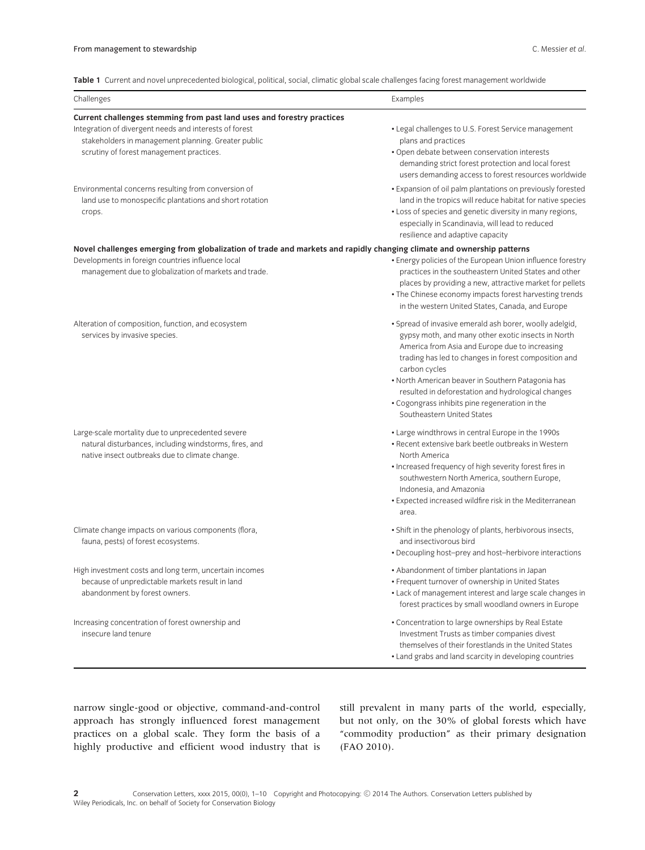**Table 1** Current and novel unprecedented biological, political, social, climatic global scale challenges facing forest management worldwide

| Challenges                                                                                                                                                                                                                          | Examples                                                                                                                                                                                                                                                                                                                                                                                                                            |  |
|-------------------------------------------------------------------------------------------------------------------------------------------------------------------------------------------------------------------------------------|-------------------------------------------------------------------------------------------------------------------------------------------------------------------------------------------------------------------------------------------------------------------------------------------------------------------------------------------------------------------------------------------------------------------------------------|--|
| Current challenges stemming from past land uses and forestry practices<br>Integration of divergent needs and interests of forest<br>stakeholders in management planning. Greater public<br>scrutiny of forest management practices. | • Legal challenges to U.S. Forest Service management<br>plans and practices<br>· Open debate between conservation interests<br>demanding strict forest protection and local forest<br>users demanding access to forest resources worldwide                                                                                                                                                                                          |  |
| Environmental concerns resulting from conversion of<br>land use to monospecific plantations and short rotation<br>crops.                                                                                                            | • Expansion of oil palm plantations on previously forested<br>land in the tropics will reduce habitat for native species<br>• Loss of species and genetic diversity in many regions,<br>especially in Scandinavia, will lead to reduced<br>resilience and adaptive capacity                                                                                                                                                         |  |
| Novel challenges emerging from globalization of trade and markets and rapidly changing climate and ownership patterns<br>Developments in foreign countries influence local<br>management due to globalization of markets and trade. | • Energy policies of the European Union influence forestry<br>practices in the southeastern United States and other<br>places by providing a new, attractive market for pellets<br>• The Chinese economy impacts forest harvesting trends<br>in the western United States, Canada, and Europe                                                                                                                                       |  |
| Alteration of composition, function, and ecosystem<br>services by invasive species.                                                                                                                                                 | · Spread of invasive emerald ash borer, woolly adelgid,<br>gypsy moth, and many other exotic insects in North<br>America from Asia and Europe due to increasing<br>trading has led to changes in forest composition and<br>carbon cycles<br>• North American beaver in Southern Patagonia has<br>resulted in deforestation and hydrological changes<br>• Cogongrass inhibits pine regeneration in the<br>Southeastern United States |  |
| Large-scale mortality due to unprecedented severe<br>natural disturbances, including windstorms, fires, and<br>native insect outbreaks due to climate change.                                                                       | • Large windthrows in central Europe in the 1990s<br>• Recent extensive bark beetle outbreaks in Western<br>North America<br>• Increased frequency of high severity forest fires in<br>southwestern North America, southern Europe,<br>Indonesia, and Amazonia<br>• Expected increased wildfire risk in the Mediterranean<br>area.                                                                                                  |  |
| Climate change impacts on various components (flora,<br>fauna, pests) of forest ecosystems.                                                                                                                                         | • Shift in the phenology of plants, herbivorous insects,<br>and insectivorous bird<br>• Decoupling host-prey and host-herbivore interactions                                                                                                                                                                                                                                                                                        |  |
| High investment costs and long term, uncertain incomes<br>because of unpredictable markets result in land<br>abandonment by forest owners.                                                                                          | • Abandonment of timber plantations in Japan<br>• Frequent turnover of ownership in United States<br>• Lack of management interest and large scale changes in<br>forest practices by small woodland owners in Europe                                                                                                                                                                                                                |  |
| Increasing concentration of forest ownership and<br>insecure land tenure                                                                                                                                                            | • Concentration to large ownerships by Real Estate<br>Investment Trusts as timber companies divest<br>themselves of their forestlands in the United States<br>• Land grabs and land scarcity in developing countries                                                                                                                                                                                                                |  |

narrow single-good or objective, command-and-control approach has strongly influenced forest management practices on a global scale. They form the basis of a highly productive and efficient wood industry that is still prevalent in many parts of the world, especially, but not only, on the 30% of global forests which have "commodity production" as their primary designation (FAO 2010).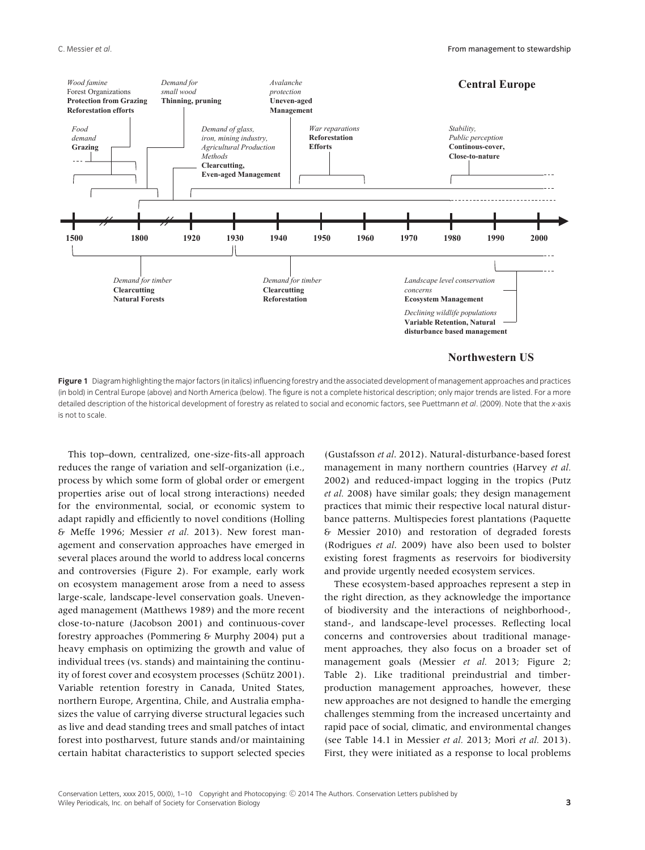

**Figure 1** Diagram highlighting the major factors (in italics) influencing forestry and the associated development of management approaches and practices (in bold) in Central Europe (above) and North America (below). The figure is not a complete historical description; only major trends are listed. For a more detailed description of the historical development of forestry as related to social and economic factors, see Puettmann *et al*. (2009). Note that the *x*-axis is not to scale.

This top–down, centralized, one-size-fits-all approach reduces the range of variation and self-organization (i.e., process by which some form of global order or emergent properties arise out of local strong interactions) needed for the environmental, social, or economic system to adapt rapidly and efficiently to novel conditions (Holling & Meffe 1996; Messier *et al.* 2013). New forest management and conservation approaches have emerged in several places around the world to address local concerns and controversies (Figure 2). For example, early work on ecosystem management arose from a need to assess large-scale, landscape-level conservation goals. Unevenaged management (Matthews 1989) and the more recent close-to-nature (Jacobson 2001) and continuous-cover forestry approaches (Pommering & Murphy 2004) put a heavy emphasis on optimizing the growth and value of individual trees (vs. stands) and maintaining the continuity of forest cover and ecosystem processes (Schütz 2001). Variable retention forestry in Canada, United States, northern Europe, Argentina, Chile, and Australia emphasizes the value of carrying diverse structural legacies such as live and dead standing trees and small patches of intact forest into postharvest, future stands and/or maintaining certain habitat characteristics to support selected species (Gustafsson *et al*. 2012). Natural-disturbance-based forest management in many northern countries (Harvey *et al.* 2002) and reduced-impact logging in the tropics (Putz *et al.* 2008) have similar goals; they design management practices that mimic their respective local natural disturbance patterns. Multispecies forest plantations (Paquette & Messier 2010) and restoration of degraded forests (Rodrigues *et al*. 2009) have also been used to bolster existing forest fragments as reservoirs for biodiversity and provide urgently needed ecosystem services.

These ecosystem-based approaches represent a step in the right direction, as they acknowledge the importance of biodiversity and the interactions of neighborhood-, stand-, and landscape-level processes. Reflecting local concerns and controversies about traditional management approaches, they also focus on a broader set of management goals (Messier *et al.* 2013; Figure 2; Table 2). Like traditional preindustrial and timberproduction management approaches, however, these new approaches are not designed to handle the emerging challenges stemming from the increased uncertainty and rapid pace of social, climatic, and environmental changes (see Table 14.1 in Messier *et al.* 2013; Mori *et al.* 2013). First, they were initiated as a response to local problems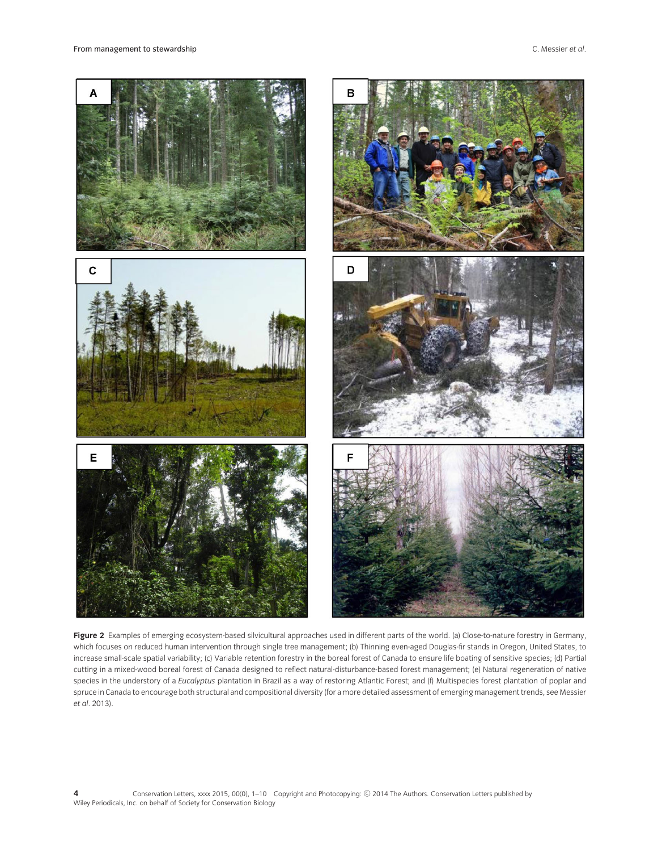

**Figure 2** Examples of emerging ecosystem-based silvicultural approaches used in different parts of the world. (a) Close-to-nature forestry in Germany, which focuses on reduced human intervention through single tree management; (b) Thinning even-aged Douglas-fir stands in Oregon, United States, to increase small-scale spatial variability; (c) Variable retention forestry in the boreal forest of Canada to ensure life boating of sensitive species; (d) Partial cutting in a mixed-wood boreal forest of Canada designed to reflect natural-disturbance-based forest management; (e) Natural regeneration of native species in the understory of a *Eucalyptus* plantation in Brazil as a way of restoring Atlantic Forest; and (f) Multispecies forest plantation of poplar and spruce in Canada to encourage both structural and compositional diversity (for a more detailed assessment of emerging management trends, see Messier *et al*. 2013).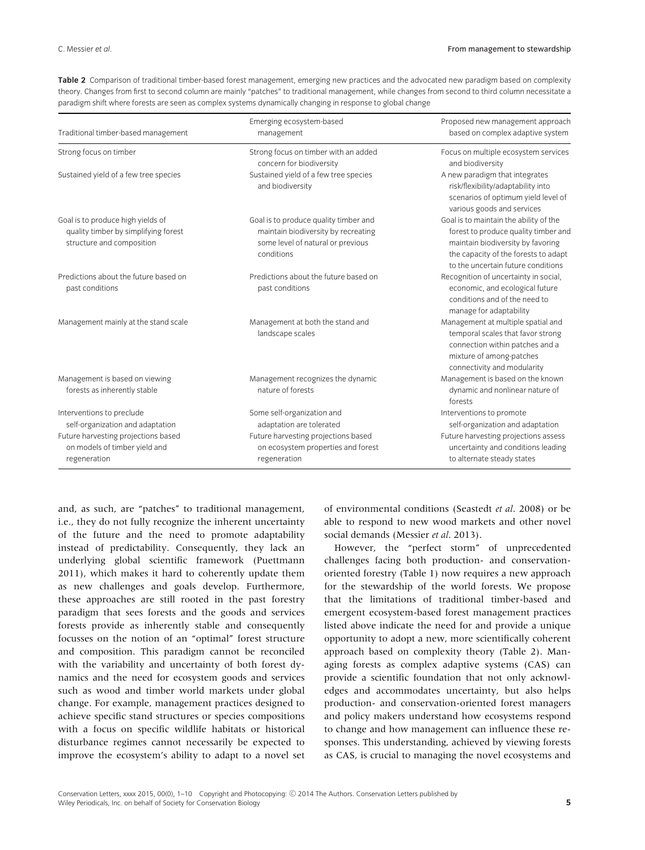| Traditional timber-based management                                                                    | Emerging ecosystem-based                                                                                                        | Proposed new management approach<br>based on complex adaptive system                                                                                                                              |
|--------------------------------------------------------------------------------------------------------|---------------------------------------------------------------------------------------------------------------------------------|---------------------------------------------------------------------------------------------------------------------------------------------------------------------------------------------------|
|                                                                                                        | management                                                                                                                      |                                                                                                                                                                                                   |
| Strong focus on timber                                                                                 | Strong focus on timber with an added<br>concern for biodiversity                                                                | Focus on multiple ecosystem services<br>and biodiversity                                                                                                                                          |
| Sustained yield of a few tree species                                                                  | Sustained yield of a few tree species<br>and biodiversity                                                                       | A new paradigm that integrates<br>risk/flexibility/adaptability into<br>scenarios of optimum yield level of<br>various goods and services                                                         |
| Goal is to produce high yields of<br>quality timber by simplifying forest<br>structure and composition | Goal is to produce quality timber and<br>maintain biodiversity by recreating<br>some level of natural or previous<br>conditions | Goal is to maintain the ability of the<br>forest to produce quality timber and<br>maintain biodiversity by favoring<br>the capacity of the forests to adapt<br>to the uncertain future conditions |
| Predictions about the future based on<br>past conditions                                               | Predictions about the future based on<br>past conditions                                                                        | Recognition of uncertainty in social,<br>economic, and ecological future<br>conditions and of the need to<br>manage for adaptability                                                              |
| Management mainly at the stand scale                                                                   | Management at both the stand and<br>landscape scales                                                                            | Management at multiple spatial and<br>temporal scales that favor strong<br>connection within patches and a<br>mixture of among-patches<br>connectivity and modularity                             |
| Management is based on viewing<br>forests as inherently stable                                         | Management recognizes the dynamic<br>nature of forests                                                                          | Management is based on the known<br>dynamic and nonlinear nature of<br>forests                                                                                                                    |
| Interventions to preclude<br>self-organization and adaptation                                          | Some self-organization and<br>adaptation are tolerated                                                                          | Interventions to promote<br>self-organization and adaptation                                                                                                                                      |
| Future harvesting projections based<br>on models of timber yield and<br>regeneration                   | Future harvesting projections based<br>on ecosystem properties and forest<br>regeneration                                       | Future harvesting projections assess<br>uncertainty and conditions leading<br>to alternate steady states                                                                                          |

**Table 2** Comparison of traditional timber-based forest management, emerging new practices and the advocated new paradigm based on complexity theory. Changes from first to second column are mainly "patches" to traditional management, while changes from second to third column necessitate a paradigm shift where forests are seen as complex systems dynamically changing in response to global change

and, as such, are "patches" to traditional management, i.e., they do not fully recognize the inherent uncertainty of the future and the need to promote adaptability instead of predictability. Consequently, they lack an underlying global scientific framework (Puettmann 2011), which makes it hard to coherently update them as new challenges and goals develop. Furthermore, these approaches are still rooted in the past forestry paradigm that sees forests and the goods and services forests provide as inherently stable and consequently focusses on the notion of an "optimal" forest structure and composition. This paradigm cannot be reconciled with the variability and uncertainty of both forest dynamics and the need for ecosystem goods and services such as wood and timber world markets under global change. For example, management practices designed to achieve specific stand structures or species compositions with a focus on specific wildlife habitats or historical disturbance regimes cannot necessarily be expected to improve the ecosystem's ability to adapt to a novel set

of environmental conditions (Seastedt *et al*. 2008) or be able to respond to new wood markets and other novel social demands (Messier *et al*. 2013).

However, the "perfect storm" of unprecedented challenges facing both production- and conservationoriented forestry (Table 1) now requires a new approach for the stewardship of the world forests. We propose that the limitations of traditional timber-based and emergent ecosystem-based forest management practices listed above indicate the need for and provide a unique opportunity to adopt a new, more scientifically coherent approach based on complexity theory (Table 2). Managing forests as complex adaptive systems (CAS) can provide a scientific foundation that not only acknowledges and accommodates uncertainty, but also helps production- and conservation-oriented forest managers and policy makers understand how ecosystems respond to change and how management can influence these responses. This understanding, achieved by viewing forests as CAS, is crucial to managing the novel ecosystems and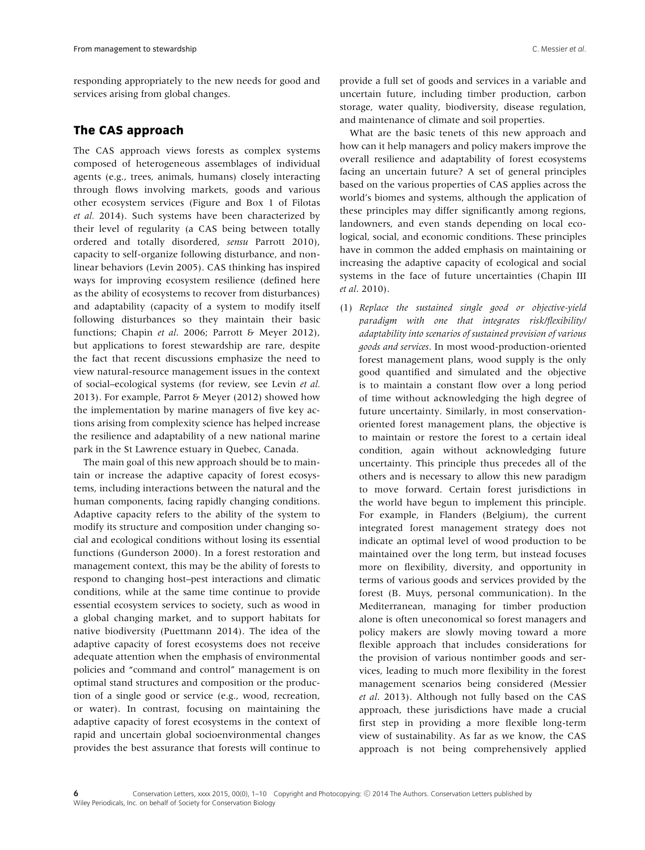responding appropriately to the new needs for good and services arising from global changes.

# **The CAS approach**

The CAS approach views forests as complex systems composed of heterogeneous assemblages of individual agents (e.g., trees, animals, humans) closely interacting through flows involving markets, goods and various other ecosystem services (Figure and Box 1 of Filotas *et al.* 2014). Such systems have been characterized by their level of regularity (a CAS being between totally ordered and totally disordered, *sensu* Parrott 2010), capacity to self-organize following disturbance, and nonlinear behaviors (Levin 2005). CAS thinking has inspired ways for improving ecosystem resilience (defined here as the ability of ecosystems to recover from disturbances) and adaptability (capacity of a system to modify itself following disturbances so they maintain their basic functions; Chapin *et al*. 2006; Parrott & Meyer 2012), but applications to forest stewardship are rare, despite the fact that recent discussions emphasize the need to view natural-resource management issues in the context of social–ecological systems (for review, see Levin *et al.* 2013). For example, Parrot & Meyer (2012) showed how the implementation by marine managers of five key actions arising from complexity science has helped increase the resilience and adaptability of a new national marine park in the St Lawrence estuary in Quebec, Canada.

The main goal of this new approach should be to maintain or increase the adaptive capacity of forest ecosystems, including interactions between the natural and the human components, facing rapidly changing conditions. Adaptive capacity refers to the ability of the system to modify its structure and composition under changing social and ecological conditions without losing its essential functions (Gunderson 2000). In a forest restoration and management context, this may be the ability of forests to respond to changing host–pest interactions and climatic conditions, while at the same time continue to provide essential ecosystem services to society, such as wood in a global changing market, and to support habitats for native biodiversity (Puettmann 2014). The idea of the adaptive capacity of forest ecosystems does not receive adequate attention when the emphasis of environmental policies and "command and control" management is on optimal stand structures and composition or the production of a single good or service (e.g., wood, recreation, or water). In contrast, focusing on maintaining the adaptive capacity of forest ecosystems in the context of rapid and uncertain global socioenvironmental changes provides the best assurance that forests will continue to

provide a full set of goods and services in a variable and uncertain future, including timber production, carbon storage, water quality, biodiversity, disease regulation, and maintenance of climate and soil properties.

What are the basic tenets of this new approach and how can it help managers and policy makers improve the overall resilience and adaptability of forest ecosystems facing an uncertain future? A set of general principles based on the various properties of CAS applies across the world's biomes and systems, although the application of these principles may differ significantly among regions, landowners, and even stands depending on local ecological, social, and economic conditions. These principles have in common the added emphasis on maintaining or increasing the adaptive capacity of ecological and social systems in the face of future uncertainties (Chapin III *et al*. 2010).

(1) *Replace the sustained single good or objective-yield paradigm with one that integrates risk/flexibility/ adaptability into scenarios of sustained provision of various goods and services*. In most wood-production-oriented forest management plans, wood supply is the only good quantified and simulated and the objective is to maintain a constant flow over a long period of time without acknowledging the high degree of future uncertainty. Similarly, in most conservationoriented forest management plans, the objective is to maintain or restore the forest to a certain ideal condition, again without acknowledging future uncertainty. This principle thus precedes all of the others and is necessary to allow this new paradigm to move forward. Certain forest jurisdictions in the world have begun to implement this principle. For example, in Flanders (Belgium), the current integrated forest management strategy does not indicate an optimal level of wood production to be maintained over the long term, but instead focuses more on flexibility, diversity, and opportunity in terms of various goods and services provided by the forest (B. Muys, personal communication). In the Mediterranean, managing for timber production alone is often uneconomical so forest managers and policy makers are slowly moving toward a more flexible approach that includes considerations for the provision of various nontimber goods and services, leading to much more flexibility in the forest management scenarios being considered (Messier *et al*. 2013). Although not fully based on the CAS approach, these jurisdictions have made a crucial first step in providing a more flexible long-term view of sustainability. As far as we know, the CAS approach is not being comprehensively applied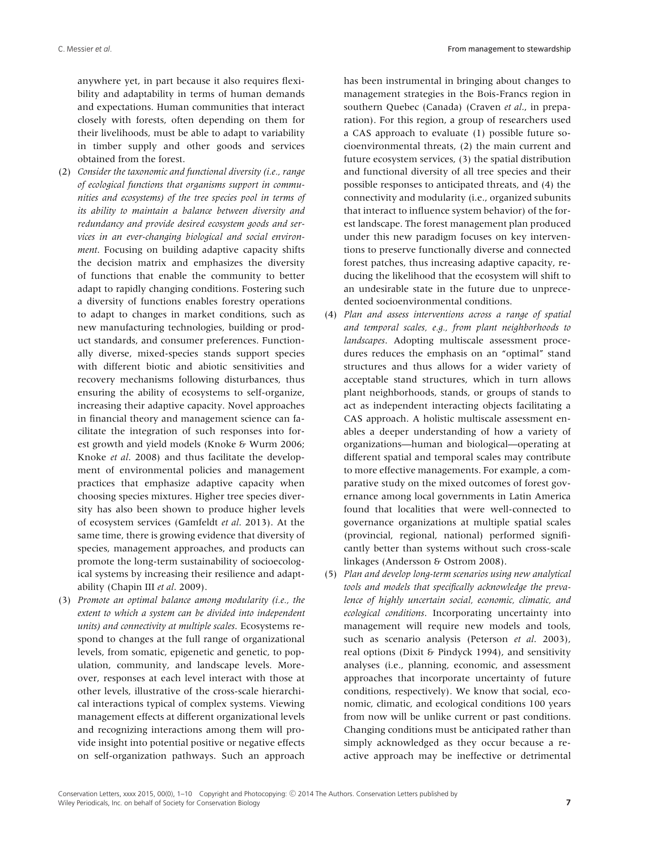anywhere yet, in part because it also requires flexibility and adaptability in terms of human demands and expectations. Human communities that interact closely with forests, often depending on them for their livelihoods, must be able to adapt to variability in timber supply and other goods and services obtained from the forest.

- (2) *Consider the taxonomic and functional diversity (i.e., range of ecological functions that organisms support in communities and ecosystems) of the tree species pool in terms of its ability to maintain a balance between diversity and redundancy and provide desired ecosystem goods and services in an ever-changing biological and social environment*. Focusing on building adaptive capacity shifts the decision matrix and emphasizes the diversity of functions that enable the community to better adapt to rapidly changing conditions. Fostering such a diversity of functions enables forestry operations to adapt to changes in market conditions, such as new manufacturing technologies, building or product standards, and consumer preferences. Functionally diverse, mixed-species stands support species with different biotic and abiotic sensitivities and recovery mechanisms following disturbances, thus ensuring the ability of ecosystems to self-organize, increasing their adaptive capacity. Novel approaches in financial theory and management science can facilitate the integration of such responses into forest growth and yield models (Knoke & Wurm 2006; Knoke *et al*. 2008) and thus facilitate the development of environmental policies and management practices that emphasize adaptive capacity when choosing species mixtures. Higher tree species diversity has also been shown to produce higher levels of ecosystem services (Gamfeldt *et al*. 2013). At the same time, there is growing evidence that diversity of species, management approaches, and products can promote the long-term sustainability of socioecological systems by increasing their resilience and adaptability (Chapin III *et al*. 2009).
- (3) *Promote an optimal balance among modularity (i.e., the extent to which a system can be divided into independent units) and connectivity at multiple scales*. Ecosystems respond to changes at the full range of organizational levels, from somatic, epigenetic and genetic, to population, community, and landscape levels. Moreover, responses at each level interact with those at other levels, illustrative of the cross-scale hierarchical interactions typical of complex systems. Viewing management effects at different organizational levels and recognizing interactions among them will provide insight into potential positive or negative effects on self-organization pathways. Such an approach

has been instrumental in bringing about changes to management strategies in the Bois-Francs region in southern Quebec (Canada) (Craven *et al*., in preparation). For this region, a group of researchers used a CAS approach to evaluate (1) possible future socioenvironmental threats, (2) the main current and future ecosystem services, (3) the spatial distribution and functional diversity of all tree species and their possible responses to anticipated threats, and (4) the connectivity and modularity (i.e., organized subunits that interact to influence system behavior) of the forest landscape. The forest management plan produced under this new paradigm focuses on key interventions to preserve functionally diverse and connected forest patches, thus increasing adaptive capacity, reducing the likelihood that the ecosystem will shift to an undesirable state in the future due to unprecedented socioenvironmental conditions.

- (4) *Plan and assess interventions across a range of spatial and temporal scales, e.g., from plant neighborhoods to landscapes*. Adopting multiscale assessment procedures reduces the emphasis on an "optimal" stand structures and thus allows for a wider variety of acceptable stand structures, which in turn allows plant neighborhoods, stands, or groups of stands to act as independent interacting objects facilitating a CAS approach. A holistic multiscale assessment enables a deeper understanding of how a variety of organizations—human and biological—operating at different spatial and temporal scales may contribute to more effective managements. For example, a comparative study on the mixed outcomes of forest governance among local governments in Latin America found that localities that were well-connected to governance organizations at multiple spatial scales (provincial, regional, national) performed significantly better than systems without such cross-scale linkages (Andersson & Ostrom 2008).
- (5) *Plan and develop long-term scenarios using new analytical tools and models that specifically acknowledge the prevalence of highly uncertain social, economic, climatic, and ecological conditions*. Incorporating uncertainty into management will require new models and tools, such as scenario analysis (Peterson *et al*. 2003), real options (Dixit & Pindyck 1994), and sensitivity analyses (i.e., planning, economic, and assessment approaches that incorporate uncertainty of future conditions, respectively). We know that social, economic, climatic, and ecological conditions 100 years from now will be unlike current or past conditions. Changing conditions must be anticipated rather than simply acknowledged as they occur because a reactive approach may be ineffective or detrimental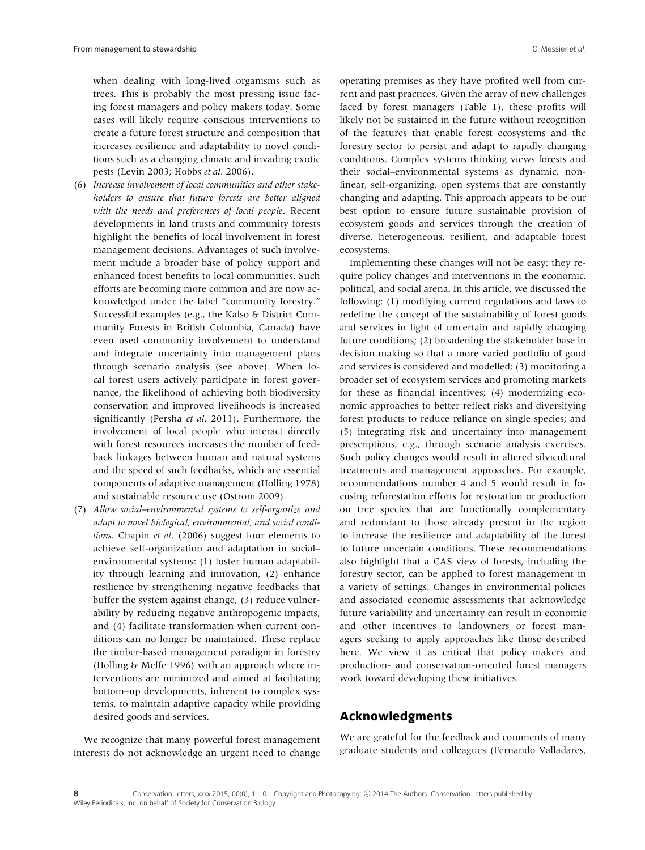when dealing with long-lived organisms such as trees. This is probably the most pressing issue facing forest managers and policy makers today. Some cases will likely require conscious interventions to create a future forest structure and composition that increases resilience and adaptability to novel conditions such as a changing climate and invading exotic pests (Levin 2003; Hobbs *et al*. 2006).

- (6) *Increase involvement of local communities and other stakeholders to ensure that future forests are better aligned with the needs and preferences of local people*. Recent developments in land trusts and community forests highlight the benefits of local involvement in forest management decisions. Advantages of such involvement include a broader base of policy support and enhanced forest benefits to local communities. Such efforts are becoming more common and are now acknowledged under the label "community forestry." Successful examples (e.g., the Kalso & District Community Forests in British Columbia, Canada) have even used community involvement to understand and integrate uncertainty into management plans through scenario analysis (see above). When local forest users actively participate in forest governance, the likelihood of achieving both biodiversity conservation and improved livelihoods is increased significantly (Persha *et al*. 2011). Furthermore, the involvement of local people who interact directly with forest resources increases the number of feedback linkages between human and natural systems and the speed of such feedbacks, which are essential components of adaptive management (Holling 1978) and sustainable resource use (Ostrom 2009).
- (7) *Allow social–environmental systems to self-organize and adapt to novel biological, environmental, and social conditions*. Chapin *et al*. (2006) suggest four elements to achieve self-organization and adaptation in social– environmental systems: (1) foster human adaptability through learning and innovation, (2) enhance resilience by strengthening negative feedbacks that buffer the system against change, (3) reduce vulnerability by reducing negative anthropogenic impacts, and (4) facilitate transformation when current conditions can no longer be maintained. These replace the timber-based management paradigm in forestry (Holling & Meffe 1996) with an approach where interventions are minimized and aimed at facilitating bottom–up developments, inherent to complex systems, to maintain adaptive capacity while providing desired goods and services.

operating premises as they have profited well from current and past practices. Given the array of new challenges faced by forest managers (Table 1), these profits will likely not be sustained in the future without recognition of the features that enable forest ecosystems and the forestry sector to persist and adapt to rapidly changing conditions. Complex systems thinking views forests and their social–environmental systems as dynamic, nonlinear, self-organizing, open systems that are constantly changing and adapting. This approach appears to be our best option to ensure future sustainable provision of ecosystem goods and services through the creation of diverse, heterogeneous, resilient, and adaptable forest ecosystems.

Implementing these changes will not be easy; they require policy changes and interventions in the economic, political, and social arena. In this article, we discussed the following: (1) modifying current regulations and laws to redefine the concept of the sustainability of forest goods and services in light of uncertain and rapidly changing future conditions; (2) broadening the stakeholder base in decision making so that a more varied portfolio of good and services is considered and modelled; (3) monitoring a broader set of ecosystem services and promoting markets for these as financial incentives; (4) modernizing economic approaches to better reflect risks and diversifying forest products to reduce reliance on single species; and (5) integrating risk and uncertainty into management prescriptions, e.g., through scenario analysis exercises. Such policy changes would result in altered silvicultural treatments and management approaches. For example, recommendations number 4 and 5 would result in focusing reforestation efforts for restoration or production on tree species that are functionally complementary and redundant to those already present in the region to increase the resilience and adaptability of the forest to future uncertain conditions. These recommendations also highlight that a CAS view of forests, including the forestry sector, can be applied to forest management in a variety of settings. Changes in environmental policies and associated economic assessments that acknowledge future variability and uncertainty can result in economic and other incentives to landowners or forest managers seeking to apply approaches like those described here. We view it as critical that policy makers and production- and conservation-oriented forest managers work toward developing these initiatives.

# **Acknowledgments**

We recognize that many powerful forest management interests do not acknowledge an urgent need to change We are grateful for the feedback and comments of many graduate students and colleagues (Fernando Valladares,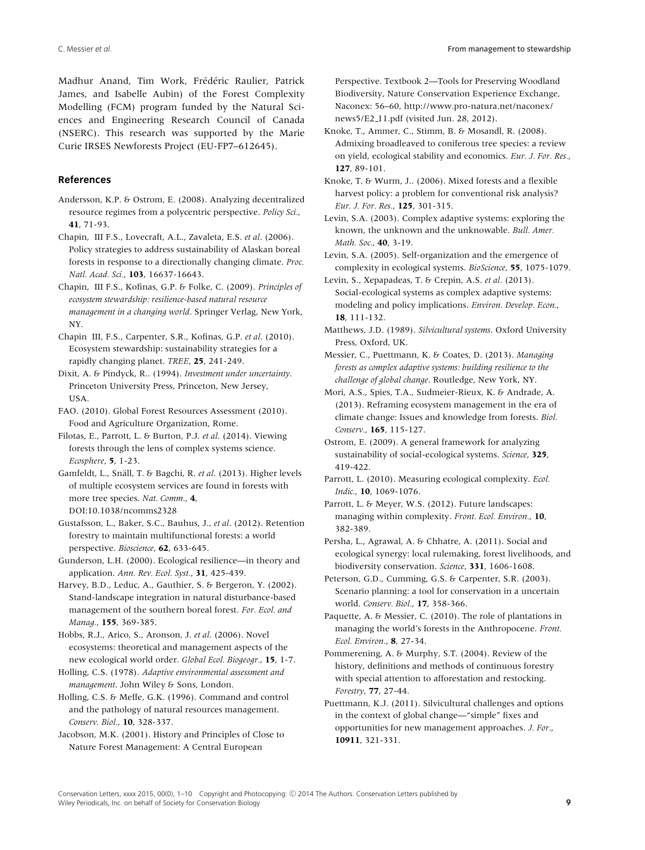Madhur Anand, Tim Work, Frédéric Raulier, Patrick James, and Isabelle Aubin) of the Forest Complexity Modelling (FCM) program funded by the Natural Sciences and Engineering Research Council of Canada (NSERC). This research was supported by the Marie Curie IRSES Newforests Project (EU-FP7–612645).

### **References**

Andersson, K.P. & Ostrom, E. (2008). Analyzing decentralized resource regimes from a polycentric perspective. *Policy Sci.*, **41**, 71-93.

Chapin, III F.S., Lovecraft, A.L., Zavaleta, E.S. *et al*. (2006). Policy strategies to address sustainability of Alaskan boreal forests in response to a directionally changing climate. *Proc. Natl. Acad. Sci.*, **103**, 16637-16643.

Chapin, III F.S., Kofinas, G.P. & Folke, C. (2009). *Principles of ecosystem stewardship: resilience-based natural resource management in a changing world*. Springer Verlag, New York, NY.

Chapin III, F.S., Carpenter, S.R., Kofinas, G.P. *et al*. (2010). Ecosystem stewardship: sustainability strategies for a rapidly changing planet. *TREE*, **25**, 241-249.

Dixit, A. & Pindyck, R.. (1994). *Investment under uncertainty*. Princeton University Press, Princeton, New Jersey, USA.

FAO. (2010). Global Forest Resources Assessment (2010). Food and Agriculture Organization, Rome.

Filotas, E., Parrott, L. & Burton, P.J. *et al*. (2014). Viewing forests through the lens of complex systems science. *Ecosphere*, **5**, 1-23.

Gamfeldt, L., Snäll, T. & Bagchi, R. et al. (2013). Higher levels of multiple ecosystem services are found in forests with more tree species. *Nat. Comm.*, **4**, DOI:10.1038/ncomms2328

Gustafsson, L., Baker, S.C., Bauhus, J., *et al*. (2012). Retention forestry to maintain multifunctional forests: a world perspective. *Bioscience*, **62**, 633-645.

Gunderson, L.H. (2000). Ecological resilience—in theory and application. *Ann. Rev. Ecol. Syst.*, **31**, 425-439.

Harvey, B.D., Leduc, A., Gauthier, S. & Bergeron, Y. (2002). Stand-landscape integration in natural disturbance-based management of the southern boreal forest. *For. Ecol. and Manag.*, **155**, 369-385.

Hobbs, R.J., Arico, S., Aronson, J. *et al*. (2006). Novel ecosystems: theoretical and management aspects of the new ecological world order. *Global Ecol. Biogeogr.*, **15**, 1-7.

Holling, C.S. (1978). *Adaptive environmental assessment and management*. John Wiley & Sons, London.

Holling, C.S. & Meffe, G.K. (1996). Command and control and the pathology of natural resources management. *Conserv. Biol.*, **10**, 328-337.

Jacobson, M.K. (2001). History and Principles of Close to Nature Forest Management: A Central European

Perspective. Textbook 2—Tools for Preserving Woodland Biodiversity, Nature Conservation Experience Exchange, Naconex: 56–60, http://www.pro-natura.net/naconex/ news5/E2 11.pdf (visited Jun. 28, 2012).

Knoke, T., Ammer, C., Stimm, B. & Mosandl, R. (2008). Admixing broadleaved to coniferous tree species: a review on yield, ecological stability and economics. *Eur. J. For. Res.*, **127**, 89-101.

Knoke, T. & Wurm, J.. (2006). Mixed forests and a flexible harvest policy: a problem for conventional risk analysis? *Eur. J. For. Res.*, **125**, 301-315.

Levin, S.A. (2003). Complex adaptive systems: exploring the known, the unknown and the unknowable. *Bull. Amer. Math. Soc.*, **40**, 3-19.

Levin, S.A. (2005). Self-organization and the emergence of complexity in ecological systems. *BioScience*, **55**, 1075-1079.

Levin, S., Xepapadeas, T. & Crepin, A.S. *et al*. (2013). Social-ecological systems as complex adaptive systems: modeling and policy implications. *Environ. Develop. Econ.*, **18**, 111-132.

Matthews, J.D. (1989). *Silvicultural systems*. Oxford University Press, Oxford, UK.

Messier, C., Puettmann, K. & Coates, D. (2013). *Managing forests as complex adaptive systems: building resilience to the challenge of global change*. Routledge, New York, NY.

Mori, A.S., Spies, T.A., Sudmeier-Rieux, K. & Andrade, A. (2013). Reframing ecosystem management in the era of climate change: Issues and knowledge from forests. *Biol. Conserv.*, **165**, 115-127.

Ostrom, E. (2009). A general framework for analyzing sustainability of social-ecological systems. *Science*, **325**, 419-422.

Parrott, L. (2010). Measuring ecological complexity. *Ecol. Indic.*, **10**, 1069-1076.

Parrott, L. & Meyer, W.S. (2012). Future landscapes: managing within complexity. *Front. Ecol. Environ.*, **10**, 382-389.

Persha, L., Agrawal, A. & Chhatre, A. (2011). Social and ecological synergy: local rulemaking, forest livelihoods, and biodiversity conservation. *Science*, **331**, 1606-1608.

Peterson, G.D., Cumming, G.S. & Carpenter, S.R. (2003). Scenario planning: a tool for conservation in a uncertain world. *Conserv. Biol.*, **17**, 358-366.

Paquette, A. & Messier, C. (2010). The role of plantations in managing the world's forests in the Anthropocene. *Front. Ecol. Environ.*, **8**, 27-34.

Pommerening, A. & Murphy, S.T. (2004). Review of the history, definitions and methods of continuous forestry with special attention to afforestation and restocking. *Forestry*, **77**, 27-44.

Puettmann, K.J. (2011). Silvicultural challenges and options in the context of global change—"simple" fixes and opportunities for new management approaches. *J. For.*, **10911**, 321-331.